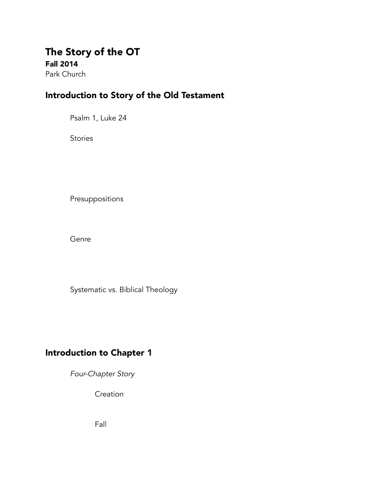## The Story of the OT Fall 2014

Park Church

## Introduction to Story of the Old Testament

Psalm 1, Luke 24

**Stories** 

Presuppositions

Genre

Systematic vs. Biblical Theology

## Introduction to Chapter 1

*Four-Chapter Story* 

**Creation** 

Fall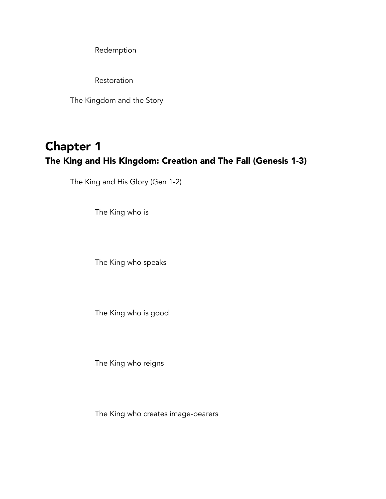Redemption

**Restoration** 

The Kingdom and the Story

# Chapter 1 The King and His Kingdom: Creation and The Fall (Genesis 1-3)

The King and His Glory (Gen 1-2)

The King who is

The King who speaks

The King who is good

The King who reigns

The King who creates image-bearers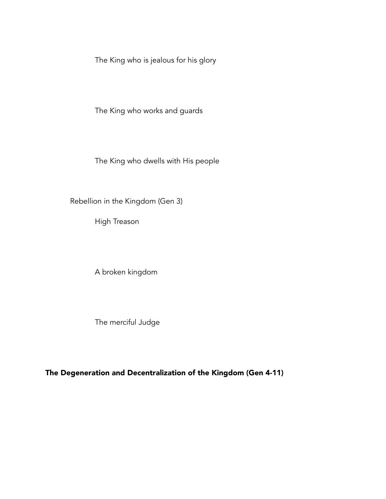The King who is jealous for his glory

The King who works and guards

The King who dwells with His people

Rebellion in the Kingdom (Gen 3)

High Treason

A broken kingdom

The merciful Judge

The Degeneration and Decentralization of the Kingdom (Gen 4-11)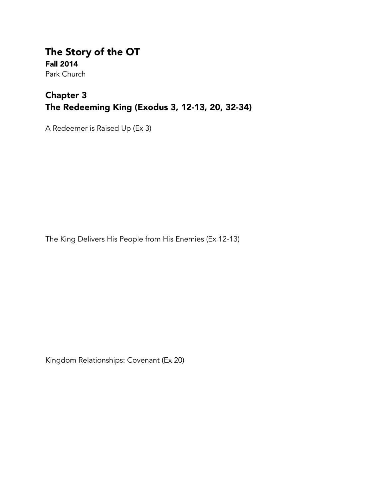The Story of the OT Fall 2014 Park Church

## Chapter 3 The Redeeming King (Exodus 3, 12-13, 20, 32-34)

A Redeemer is Raised Up (Ex 3)

The King Delivers His People from His Enemies (Ex 12-13)

Kingdom Relationships: Covenant (Ex 20)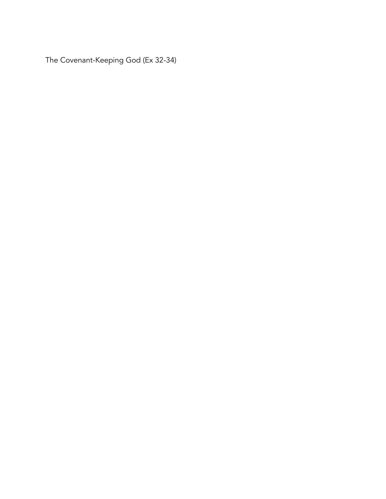The Covenant-Keeping God (Ex 32-34)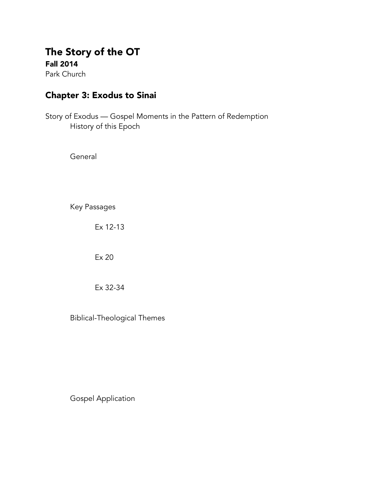### The Story of the OT Fall 2014

Park Church

### Chapter 3: Exodus to Sinai

Story of Exodus — Gospel Moments in the Pattern of Redemption History of this Epoch

**General** 

Key Passages

Ex 12-13

Ex 20

Ex 32-34

Biblical-Theological Themes

Gospel Application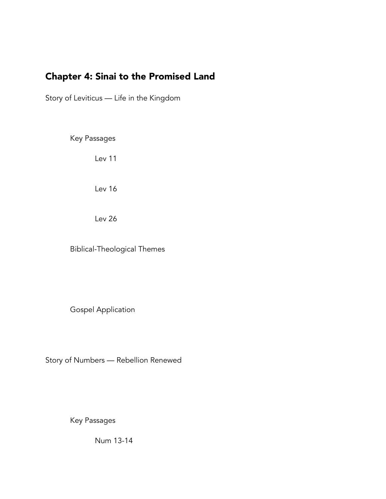## Chapter 4: Sinai to the Promised Land

Story of Leviticus — Life in the Kingdom

Key Passages

Lev 11

Lev 16

Lev 26

Biblical-Theological Themes

Gospel Application

Story of Numbers — Rebellion Renewed

Key Passages

Num 13-14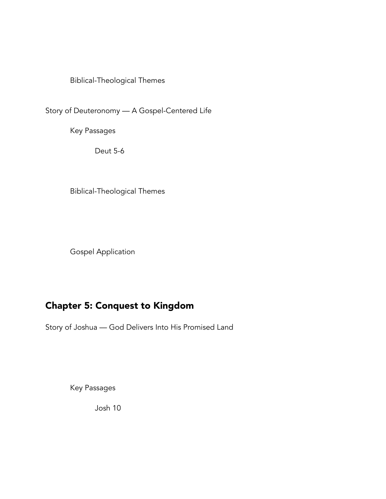Story of Deuteronomy — A Gospel-Centered Life

Key Passages

Deut 5-6

Biblical-Theological Themes

Gospel Application

## Chapter 5: Conquest to Kingdom

Story of Joshua — God Delivers Into His Promised Land

Key Passages

Josh 10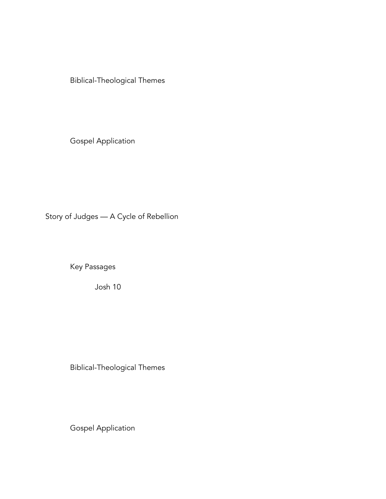Gospel Application

Story of Judges — A Cycle of Rebellion

Key Passages

Josh 10

Biblical-Theological Themes

Gospel Application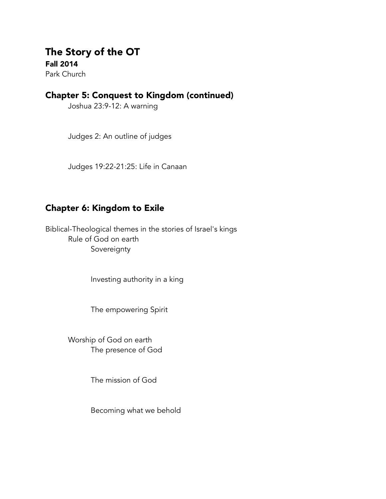# The Story of the OT Fall 2014

Park Church

### Chapter 5: Conquest to Kingdom (continued)

Joshua 23:9-12: A warning

Judges 2: An outline of judges

Judges 19:22-21:25: Life in Canaan

### Chapter 6: Kingdom to Exile

Biblical-Theological themes in the stories of Israel's kings Rule of God on earth Sovereignty

Investing authority in a king

The empowering Spirit

 Worship of God on earth The presence of God

The mission of God

Becoming what we behold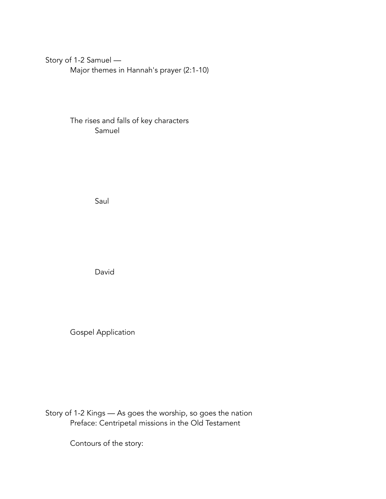#### Story of 1-2 Samuel —

Major themes in Hannah's prayer (2:1-10)

#### The rises and falls of key characters Samuel

Saul

David

Gospel Application

Story of 1-2 Kings — As goes the worship, so goes the nation Preface: Centripetal missions in the Old Testament

Contours of the story: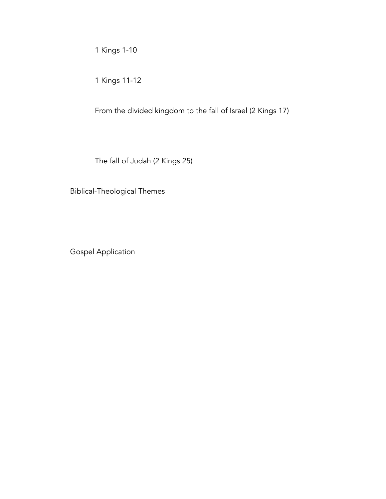1 Kings 1-10

1 Kings 11-12

From the divided kingdom to the fall of Israel (2 Kings 17)

The fall of Judah (2 Kings 25)

Biblical-Theological Themes

Gospel Application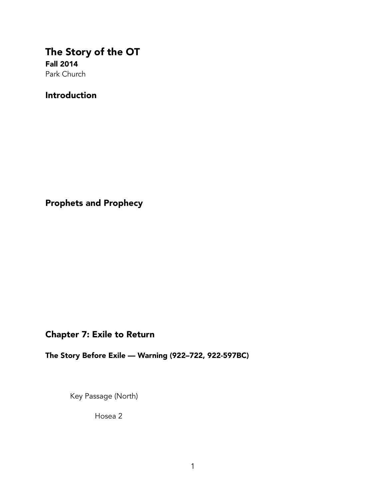### The Story of the OT Fall 2014 Park Church

Introduction

Prophets and Prophecy

### Chapter 7: Exile to Return

The Story Before Exile — Warning (922–722, 922-597BC)

Key Passage (North)

Hosea 2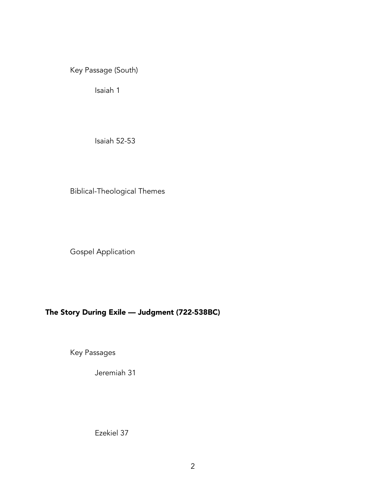Key Passage (South)

Isaiah 1

Isaiah 52-53

Biblical-Theological Themes

Gospel Application

### The Story During Exile — Judgment (722-538BC)

Key Passages

Jeremiah 31

Ezekiel 37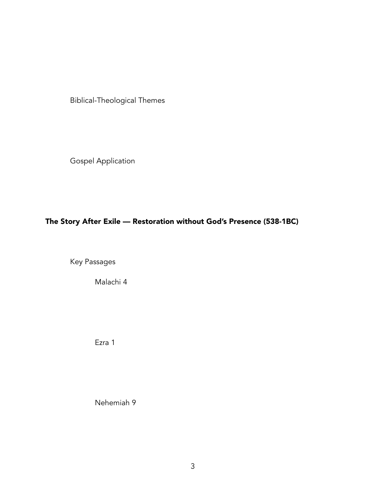Gospel Application

### The Story After Exile — Restoration without God's Presence (538-1BC)

Key Passages

Malachi 4

Ezra 1

Nehemiah 9